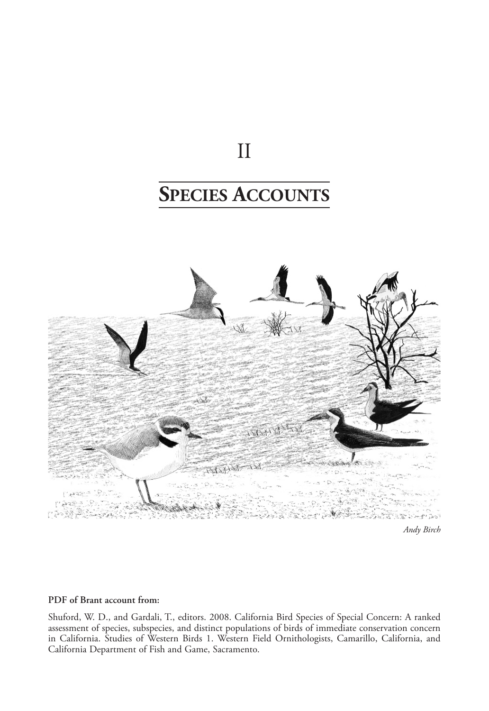## II

# **Species Accounts**



#### **PDF of Brant account from:**

Shuford, W. D., and Gardali, T., editors. 2008. California Bird Species of Special Concern: A ranked assessment of species, subspecies, and distinct populations of birds of immediate conservation concern in California. Studies of Western Birds 1. Western Field Ornithologists, Camarillo, California, and California Department of Fish and Game, Sacramento.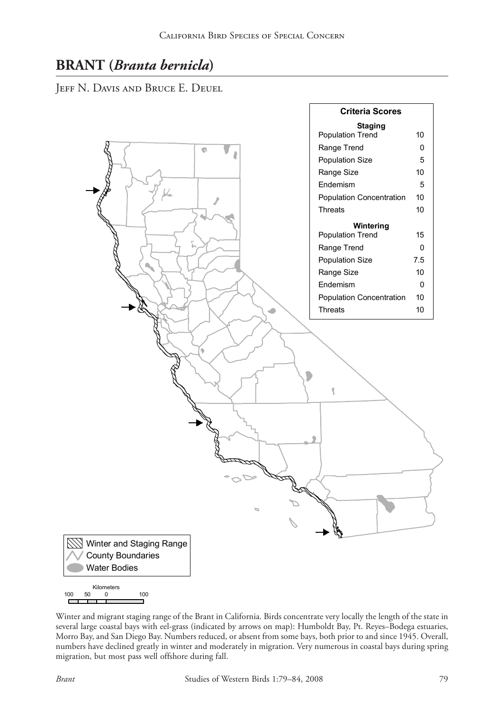### **BRANT (***Branta bernicla***)**

Jeff N. Davis and Bruce E. Deuel



Winter and migrant staging range of the Brant in California. Birds concentrate very locally the length of the state in several large coastal bays with eel-grass (indicated by arrows on map): Humboldt Bay, Pt. Reyes–Bodega estuaries, Morro Bay, and San Diego Bay. Numbers reduced, or absent from some bays, both prior to and since 1945. Overall, numbers have declined greatly in winter and moderately in migration. Very numerous in coastal bays during spring migration, but most pass well offshore during fall.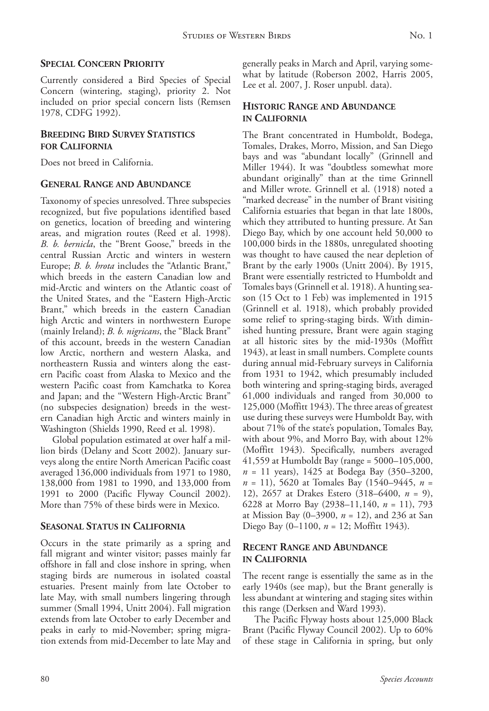#### **Special Concern Priority**

Currently considered a Bird Species of Special Concern (wintering, staging), priority 2. Not included on prior special concern lists (Remsen 1978, CDFG 1992).

#### **Breeding Bird Survey Statistics for California**

Does not breed in California.

#### **General Range and Abundance**

Taxonomy of species unresolved. Three subspecies recognized, but five populations identified based on genetics, location of breeding and wintering areas, and migration routes (Reed et al. 1998). *B. b. bernicla*, the "Brent Goose," breeds in the central Russian Arctic and winters in western Europe; *B. b. hrota* includes the "Atlantic Brant," which breeds in the eastern Canadian low and mid-Arctic and winters on the Atlantic coast of the United States, and the "Eastern High-Arctic Brant," which breeds in the eastern Canadian high Arctic and winters in northwestern Europe (mainly Ireland); *B. b. nigricans*, the "Black Brant" of this account, breeds in the western Canadian low Arctic, northern and western Alaska, and northeastern Russia and winters along the eastern Pacific coast from Alaska to Mexico and the western Pacific coast from Kamchatka to Korea and Japan; and the "Western High-Arctic Brant" (no subspecies designation) breeds in the western Canadian high Arctic and winters mainly in Washington (Shields 1990, Reed et al. 1998).

Global population estimated at over half a million birds (Delany and Scott 2002). January surveys along the entire North American Pacific coast averaged 136,000 individuals from 1971 to 1980, 138,000 from 1981 to 1990, and 133,000 from 1991 to 2000 (Pacific Flyway Council 2002). More than 75% of these birds were in Mexico.

#### **Seasonal Status in California**

Occurs in the state primarily as a spring and fall migrant and winter visitor; passes mainly far offshore in fall and close inshore in spring, when staging birds are numerous in isolated coastal estuaries. Present mainly from late October to late May, with small numbers lingering through summer (Small 1994, Unitt 2004). Fall migration extends from late October to early December and peaks in early to mid-November; spring migration extends from mid-December to late May and generally peaks in March and April, varying somewhat by latitude (Roberson 2002, Harris 2005, Lee et al. 2007, J. Roser unpubl. data).

#### **Historic Range and Abundance in California**

The Brant concentrated in Humboldt, Bodega, Tomales, Drakes, Morro, Mission, and San Diego bays and was "abundant locally" (Grinnell and Miller 1944). It was "doubtless somewhat more abundant originally" than at the time Grinnell and Miller wrote. Grinnell et al. (1918) noted a "marked decrease" in the number of Brant visiting California estuaries that began in that late 1800s, which they attributed to hunting pressure. At San Diego Bay, which by one account held 50,000 to 100,000 birds in the 1880s, unregulated shooting was thought to have caused the near depletion of Brant by the early 1900s (Unitt 2004). By 1915, Brant were essentially restricted to Humboldt and Tomales bays (Grinnell et al. 1918). A hunting season (15 Oct to 1 Feb) was implemented in 1915 (Grinnell et al. 1918), which probably provided some relief to spring-staging birds. With diminished hunting pressure, Brant were again staging at all historic sites by the mid-1930s (Moffitt 1943), at least in small numbers. Complete counts during annual mid-February surveys in California from 1931 to 1942, which presumably included both wintering and spring-staging birds, averaged 61,000 individuals and ranged from 30,000 to 125,000 (Moffitt 1943). The three areas of greatest use during these surveys were Humboldt Bay, with about 71% of the state's population, Tomales Bay, with about 9%, and Morro Bay, with about 12% (Moffitt 1943). Specifically, numbers averaged 41,559 at Humboldt Bay (range = 5000–105,000, *n* = 11 years), 1425 at Bodega Bay (350–3200, *n* = 11), 5620 at Tomales Bay (1540–9445, *n* = 12), 2657 at Drakes Estero (318–6400, *n* = 9), 6228 at Morro Bay (2938–11,140, *n* = 11), 793 at Mission Bay (0–3900, *n* = 12), and 236 at San Diego Bay (0–1100, *n* = 12; Moffitt 1943).

#### **Recent Range and Abundance in California**

The recent range is essentially the same as in the early 1940s (see map), but the Brant generally is less abundant at wintering and staging sites within this range (Derksen and Ward 1993).

The Pacific Flyway hosts about 125,000 Black Brant (Pacific Flyway Council 2002). Up to 60% of these stage in California in spring, but only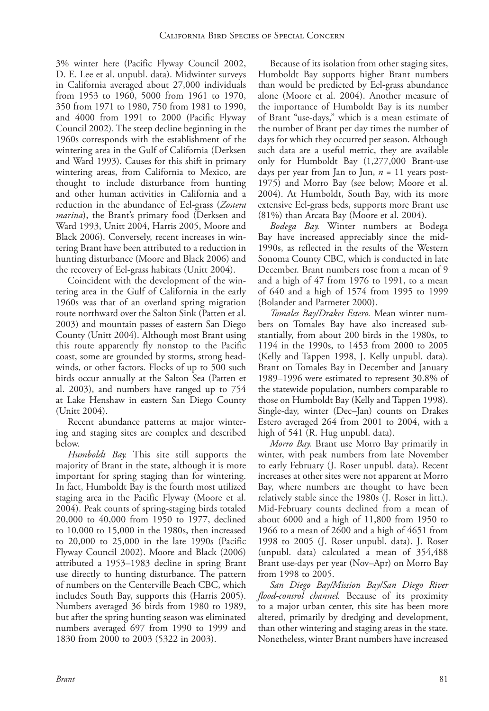3% winter here (Pacific Flyway Council 2002, D. E. Lee et al. unpubl. data). Midwinter surveys in California averaged about 27,000 individuals from 1953 to 1960, 5000 from 1961 to 1970, 350 from 1971 to 1980, 750 from 1981 to 1990, and 4000 from 1991 to 2000 (Pacific Flyway Council 2002). The steep decline beginning in the 1960s corresponds with the establishment of the wintering area in the Gulf of California (Derksen and Ward 1993). Causes for this shift in primary wintering areas, from California to Mexico, are thought to include disturbance from hunting and other human activities in California and a reduction in the abundance of Eel-grass (*Zostera marina*), the Brant's primary food (Derksen and Ward 1993, Unitt 2004, Harris 2005, Moore and Black 2006). Conversely, recent increases in wintering Brant have been attributed to a reduction in hunting disturbance (Moore and Black 2006) and the recovery of Eel-grass habitats (Unitt 2004).

Coincident with the development of the wintering area in the Gulf of California in the early 1960s was that of an overland spring migration route northward over the Salton Sink (Patten et al. 2003) and mountain passes of eastern San Diego County (Unitt 2004). Although most Brant using this route apparently fly nonstop to the Pacific coast, some are grounded by storms, strong headwinds, or other factors. Flocks of up to 500 such birds occur annually at the Salton Sea (Patten et al. 2003), and numbers have ranged up to 754 at Lake Henshaw in eastern San Diego County (Unitt 2004).

Recent abundance patterns at major wintering and staging sites are complex and described below.

*Humboldt Bay.* This site still supports the majority of Brant in the state, although it is more important for spring staging than for wintering. In fact, Humboldt Bay is the fourth most utilized staging area in the Pacific Flyway (Moore et al. 2004). Peak counts of spring-staging birds totaled 20,000 to 40,000 from 1950 to 1977, declined to 10,000 to 15,000 in the 1980s, then increased to 20,000 to 25,000 in the late 1990s (Pacific Flyway Council 2002). Moore and Black (2006) attributed a 1953–1983 decline in spring Brant use directly to hunting disturbance. The pattern of numbers on the Centerville Beach CBC, which includes South Bay, supports this (Harris 2005). Numbers averaged 36 birds from 1980 to 1989, but after the spring hunting season was eliminated numbers averaged 697 from 1990 to 1999 and 1830 from 2000 to 2003 (5322 in 2003).

Because of its isolation from other staging sites, Humboldt Bay supports higher Brant numbers than would be predicted by Eel-grass abundance alone (Moore et al. 2004). Another measure of the importance of Humboldt Bay is its number of Brant "use-days," which is a mean estimate of the number of Brant per day times the number of days for which they occurred per season. Although such data are a useful metric, they are available only for Humboldt Bay (1,277,000 Brant-use days per year from Jan to Jun, *n* = 11 years post-1975) and Morro Bay (see below; Moore et al. 2004). At Humboldt, South Bay, with its more extensive Eel-grass beds, supports more Brant use (81%) than Arcata Bay (Moore et al. 2004).

*Bodega Bay.* Winter numbers at Bodega Bay have increased appreciably since the mid-1990s, as reflected in the results of the Western Sonoma County CBC, which is conducted in late December. Brant numbers rose from a mean of 9 and a high of 47 from 1976 to 1991, to a mean of 640 and a high of 1574 from 1995 to 1999 (Bolander and Parmeter 2000).

*Tomales Bay/Drakes Estero.* Mean winter numbers on Tomales Bay have also increased substantially, from about 200 birds in the 1980s, to 1194 in the 1990s, to 1453 from 2000 to 2005 (Kelly and Tappen 1998, J. Kelly unpubl. data). Brant on Tomales Bay in December and January 1989–1996 were estimated to represent 30.8% of the statewide population, numbers comparable to those on Humboldt Bay (Kelly and Tappen 1998). Single-day, winter (Dec–Jan) counts on Drakes Estero averaged 264 from 2001 to 2004, with a high of 541 (R. Hug unpubl. data).

*Morro Bay.* Brant use Morro Bay primarily in winter, with peak numbers from late November to early February (J. Roser unpubl. data). Recent increases at other sites were not apparent at Morro Bay, where numbers are thought to have been relatively stable since the 1980s (J. Roser in litt.). Mid-February counts declined from a mean of about 6000 and a high of 11,800 from 1950 to 1966 to a mean of 2600 and a high of 4651 from 1998 to 2005 (J. Roser unpubl. data). J. Roser (unpubl. data) calculated a mean of 354,488 Brant use-days per year (Nov–Apr) on Morro Bay from 1998 to 2005.

*San Diego Bay/Mission Bay/San Diego River flood-control channel.* Because of its proximity to a major urban center, this site has been more altered, primarily by dredging and development, than other wintering and staging areas in the state. Nonetheless, winter Brant numbers have increased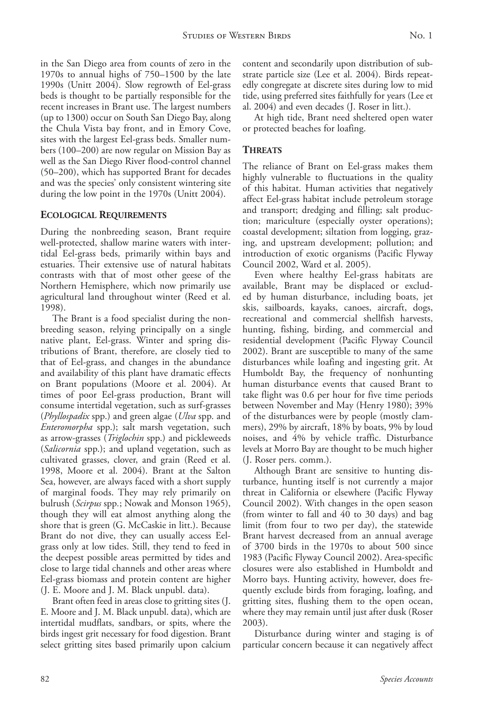in the San Diego area from counts of zero in the 1970s to annual highs of 750–1500 by the late 1990s (Unitt 2004). Slow regrowth of Eel-grass beds is thought to be partially responsible for the recent increases in Brant use. The largest numbers (up to 1300) occur on South San Diego Bay, along the Chula Vista bay front, and in Emory Cove, sites with the largest Eel-grass beds. Smaller numbers (100–200) are now regular on Mission Bay as well as the San Diego River flood-control channel (50–200), which has supported Brant for decades and was the species' only consistent wintering site during the low point in the 1970s (Unitt 2004).

#### **Ecological Requirements**

During the nonbreeding season, Brant require well-protected, shallow marine waters with intertidal Eel-grass beds, primarily within bays and estuaries. Their extensive use of natural habitats contrasts with that of most other geese of the Northern Hemisphere, which now primarily use agricultural land throughout winter (Reed et al. 1998).

The Brant is a food specialist during the nonbreeding season, relying principally on a single native plant, Eel-grass. Winter and spring distributions of Brant, therefore, are closely tied to that of Eel-grass, and changes in the abundance and availability of this plant have dramatic effects on Brant populations (Moore et al. 2004). At times of poor Eel-grass production, Brant will consume intertidal vegetation, such as surf-grasses (*Phyllospadix* spp.) and green algae (*Ulva* spp. and *Enteromorpha* spp.); salt marsh vegetation, such as arrow-grasses (*Triglochin* spp.) and pickleweeds (*Salicornia* spp.); and upland vegetation, such as cultivated grasses, clover, and grain (Reed et al. 1998, Moore et al. 2004). Brant at the Salton Sea, however, are always faced with a short supply of marginal foods. They may rely primarily on bulrush (*Scirpus* spp*.*; Nowak and Monson 1965), though they will eat almost anything along the shore that is green (G. McCaskie in litt.). Because Brant do not dive, they can usually access Eelgrass only at low tides. Still, they tend to feed in the deepest possible areas permitted by tides and close to large tidal channels and other areas where Eel-grass biomass and protein content are higher (J. E. Moore and J. M. Black unpubl. data).

Brant often feed in areas close to gritting sites (J. E. Moore and J. M. Black unpubl. data), which are intertidal mudflats, sandbars, or spits, where the birds ingest grit necessary for food digestion. Brant select gritting sites based primarily upon calcium content and secondarily upon distribution of substrate particle size (Lee et al. 2004). Birds repeatedly congregate at discrete sites during low to mid tide, using preferred sites faithfully for years (Lee et al. 2004) and even decades (J. Roser in litt.).

At high tide, Brant need sheltered open water or protected beaches for loafing.

#### **Threats**

The reliance of Brant on Eel-grass makes them highly vulnerable to fluctuations in the quality of this habitat. Human activities that negatively affect Eel-grass habitat include petroleum storage and transport; dredging and filling; salt production; mariculture (especially oyster operations); coastal development; siltation from logging, grazing, and upstream development; pollution; and introduction of exotic organisms (Pacific Flyway Council 2002, Ward et al. 2005).

Even where healthy Eel-grass habitats are available, Brant may be displaced or excluded by human disturbance, including boats, jet skis, sailboards, kayaks, canoes, aircraft, dogs, recreational and commercial shellfish harvests, hunting, fishing, birding, and commercial and residential development (Pacific Flyway Council 2002). Brant are susceptible to many of the same disturbances while loafing and ingesting grit. At Humboldt Bay, the frequency of nonhunting human disturbance events that caused Brant to take flight was 0.6 per hour for five time periods between November and May (Henry 1980); 39% of the disturbances were by people (mostly clammers), 29% by aircraft, 18% by boats, 9% by loud noises, and 4% by vehicle traffic. Disturbance levels at Morro Bay are thought to be much higher (J. Roser pers. comm.).

Although Brant are sensitive to hunting disturbance, hunting itself is not currently a major threat in California or elsewhere (Pacific Flyway Council 2002). With changes in the open season (from winter to fall and 40 to 30 days) and bag limit (from four to two per day), the statewide Brant harvest decreased from an annual average of 3700 birds in the 1970s to about 500 since 1983 (Pacific Flyway Council 2002). Area-specific closures were also established in Humboldt and Morro bays. Hunting activity, however, does frequently exclude birds from foraging, loafing, and gritting sites, flushing them to the open ocean, where they may remain until just after dusk (Roser 2003).

Disturbance during winter and staging is of particular concern because it can negatively affect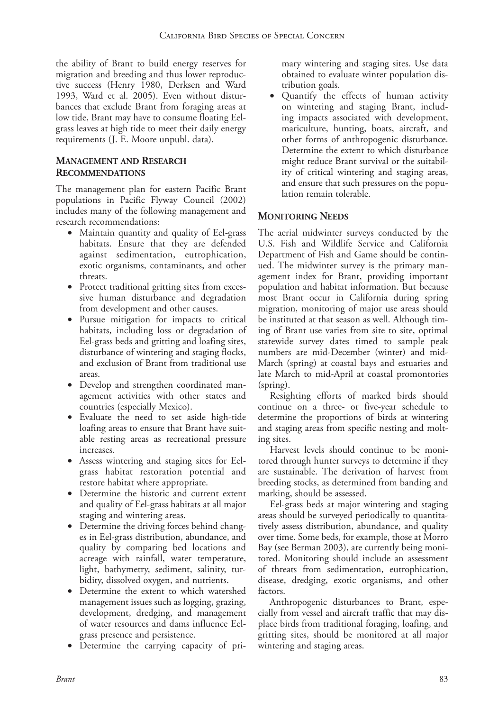the ability of Brant to build energy reserves for migration and breeding and thus lower reproductive success (Henry 1980, Derksen and Ward 1993, Ward et al. 2005). Even without disturbances that exclude Brant from foraging areas at low tide, Brant may have to consume floating Eelgrass leaves at high tide to meet their daily energy requirements (J. E. Moore unpubl. data).

#### **Management and Research Recommendations**

The management plan for eastern Pacific Brant populations in Pacific Flyway Council (2002) includes many of the following management and research recommendations:

- Maintain quantity and quality of Eel-grass habitats. Ensure that they are defended against sedimentation, eutrophication, exotic organisms, contaminants, and other threats.
- Protect traditional gritting sites from excessive human disturbance and degradation from development and other causes.
- Pursue mitigation for impacts to critical habitats, including loss or degradation of Eel-grass beds and gritting and loafing sites, disturbance of wintering and staging flocks, and exclusion of Brant from traditional use areas.
- Develop and strengthen coordinated management activities with other states and countries (especially Mexico).
- Evaluate the need to set aside high-tide loafing areas to ensure that Brant have suitable resting areas as recreational pressure increases.
- • Assess wintering and staging sites for Eelgrass habitat restoration potential and restore habitat where appropriate.
- Determine the historic and current extent and quality of Eel-grass habitats at all major staging and wintering areas.
- Determine the driving forces behind changes in Eel-grass distribution, abundance, and quality by comparing bed locations and acreage with rainfall, water temperature, light, bathymetry, sediment, salinity, turbidity, dissolved oxygen, and nutrients.
- • Determine the extent to which watershed management issues such as logging, grazing, development, dredging, and management of water resources and dams influence Eelgrass presence and persistence.
- Determine the carrying capacity of pri-

mary wintering and staging sites. Use data obtained to evaluate winter population distribution goals.

• Quantify the effects of human activity on wintering and staging Brant, including impacts associated with development, mariculture, hunting, boats, aircraft, and other forms of anthropogenic disturbance. Determine the extent to which disturbance might reduce Brant survival or the suitability of critical wintering and staging areas, and ensure that such pressures on the population remain tolerable.

#### **Monitoring Needs**

The aerial midwinter surveys conducted by the U.S. Fish and Wildlife Service and California Department of Fish and Game should be continued. The midwinter survey is the primary management index for Brant, providing important population and habitat information. But because most Brant occur in California during spring migration, monitoring of major use areas should be instituted at that season as well. Although timing of Brant use varies from site to site, optimal statewide survey dates timed to sample peak numbers are mid-December (winter) and mid-March (spring) at coastal bays and estuaries and late March to mid-April at coastal promontories (spring).

Resighting efforts of marked birds should continue on a three- or five-year schedule to determine the proportions of birds at wintering and staging areas from specific nesting and molting sites.

Harvest levels should continue to be monitored through hunter surveys to determine if they are sustainable. The derivation of harvest from breeding stocks, as determined from banding and marking, should be assessed.

Eel-grass beds at major wintering and staging areas should be surveyed periodically to quantitatively assess distribution, abundance, and quality over time. Some beds, for example, those at Morro Bay (see Berman 2003), are currently being monitored. Monitoring should include an assessment of threats from sedimentation, eutrophication, disease, dredging, exotic organisms, and other factors.

Anthropogenic disturbances to Brant, especially from vessel and aircraft traffic that may displace birds from traditional foraging, loafing, and gritting sites, should be monitored at all major wintering and staging areas.